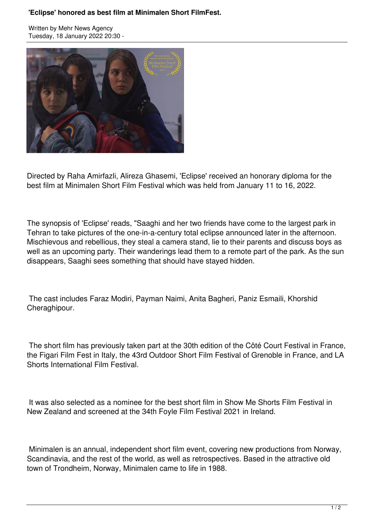## **'Eclipse' honored as best film at Minimalen Short FilmFest.**

Written by Mehr News Agency Tuesday, 18 January 2022 20:30 -



Directed by Raha Amirfazli, Alireza Ghasemi, 'Eclipse' received an honorary diploma for the best film at Minimalen Short Film Festival which was held from January 11 to 16, 2022.

The synopsis of 'Eclipse' reads, "Saaghi and her two friends have come to the largest park in Tehran to take pictures of the one-in-a-century total eclipse announced later in the afternoon. Mischievous and rebellious, they steal a camera stand, lie to their parents and discuss boys as well as an upcoming party. Their wanderings lead them to a remote part of the park. As the sun disappears, Saaghi sees something that should have stayed hidden.

 The cast includes Faraz Modiri, Payman Naimi, Anita Bagheri, Paniz Esmaili, Khorshid Cheraghipour.

 The short film has previously taken part at the 30th edition of the Côté Court Festival in France, the Figari Film Fest in Italy, the 43rd Outdoor Short Film Festival of Grenoble in France, and LA Shorts International Film Festival.

 It was also selected as a nominee for the best short film in Show Me Shorts Film Festival in New Zealand and screened at the 34th Foyle Film Festival 2021 in Ireland.

 Minimalen is an annual, independent short film event, covering new productions from Norway, Scandinavia, and the rest of the world, as well as retrospectives. Based in the attractive old town of Trondheim, Norway, Minimalen came to life in 1988.